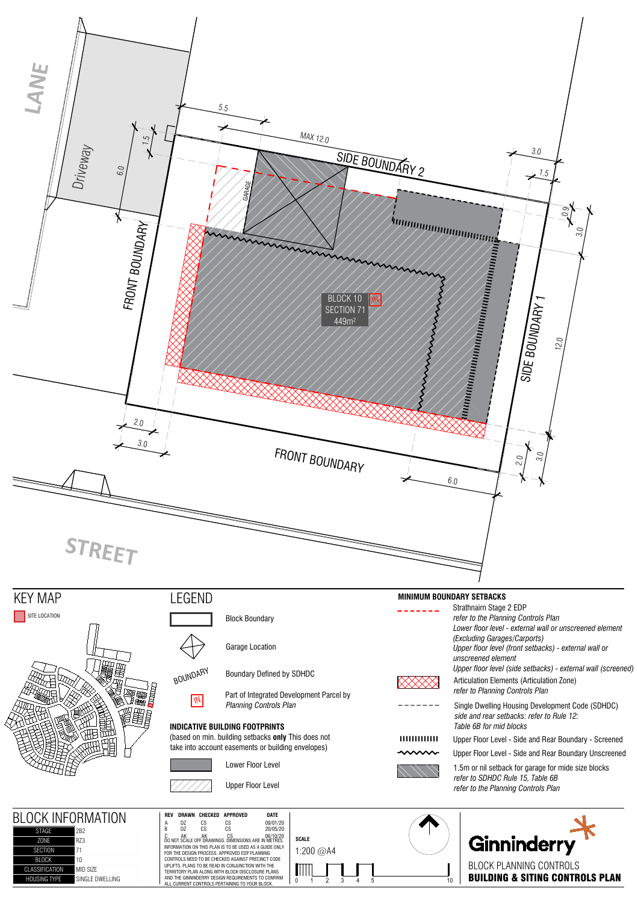